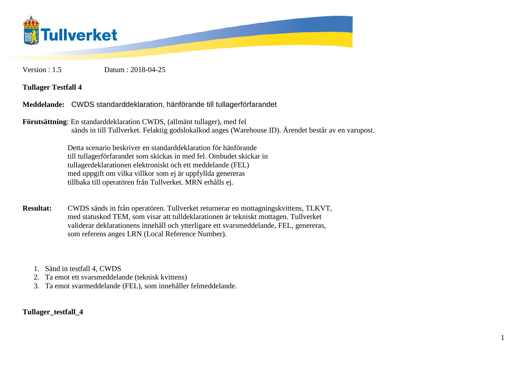

Version : 1.5 Datum : 2018-04-25

**Tullager Testfall 4**

**Meddelande:** CWDS standarddeklaration, hänförande till tullagerförfarandet

**Förutsättning**: En standarddeklaration CWDS, (allmänt tullager), med fel sänds in till Tullverket. Felaktig godslokalkod anges (Warehouse ID). Ärendet består av en varupost.

> Detta scenario beskriver en standarddeklaration för hänförande till tullagerförfarandet som skickas in med fel. Ombudet skickar in tullagerdeklarationen elektroniskt och ett meddelande (FEL) med uppgift om vilka villkor som ej är uppfyllda genereras tillbaka till operatören från Tullverket. MRN erhålls ej.

- **Resultat:** CWDS sänds in från operatören. Tullverket returnerar en mottagningskvittens, TLKVT, med statuskod TEM, som visar att tulldeklarationen är tekniskt mottagen. Tullverket validerar deklarationens innehåll och ytterligare ett svarsmeddelande, FEL, genereras, som referens anges LRN (Local Reference Number).
	- 1. Sänd in testfall 4, CWDS
	- 2. Ta emot ett svarsmeddelande (teknisk kvittens)
	- 3. Ta emot svarmeddelande (FEL), som innehåller felmeddelande.

**Tullager\_testfall\_4**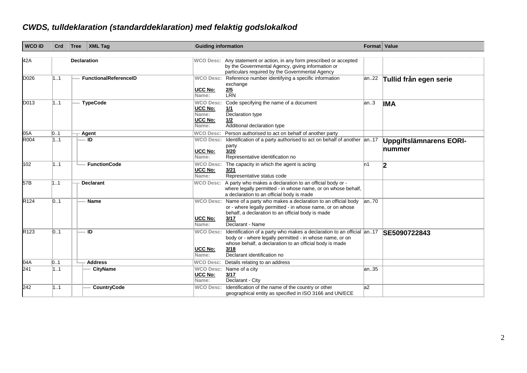## *CWDS, tulldeklaration (standarddeklaration) med felaktig godslokalkod*

| <b>WCO ID</b>    | Crd | Tree               | <b>XML Tag</b>               | <b>Guiding information</b>                                             |                                                                                                                                                                                                                                     | <b>Format</b> Value |                                          |
|------------------|-----|--------------------|------------------------------|------------------------------------------------------------------------|-------------------------------------------------------------------------------------------------------------------------------------------------------------------------------------------------------------------------------------|---------------------|------------------------------------------|
| 42A              |     | <b>Declaration</b> |                              |                                                                        | WCO Desc: Any statement or action, in any form prescribed or accepted<br>by the Governmental Agency, giving information or<br>particulars required by the Governmental Agency                                                       |                     |                                          |
| D026             | 1.1 |                    | <b>FunctionalReferenceID</b> | <b>UCC No:</b><br>Name:                                                | WCO Desc: Reference number identifying a specific information<br>exchange<br>$\frac{2/5}{LRN}$                                                                                                                                      | an22                | Tullid från egen serie                   |
| D013             | 11  |                    | <b>TypeCode</b>              | <b>WCO Desc:</b><br><b>UCC No:</b><br>Name:<br><b>UCC No:</b><br>Name: | Code specifying the name of a document<br><u> 1/1</u><br>Declaration type<br><u> 1/2</u><br>Additional declaration type                                                                                                             | an.3                | <b>IMA</b>                               |
| 05A              | 0.1 |                    | Agent                        | <b>WCO Desc:</b>                                                       | Person authorised to act on behalf of another party                                                                                                                                                                                 |                     |                                          |
| R004             | 1.1 |                    | - ID                         | <b>UCC No:</b><br>Name:                                                | WCO Desc: Identification of a party authorised to act on behalf of another  an17<br>party<br>3/20<br>Representative identification no                                                                                               |                     | <b>Uppgiftslämnarens EORI-</b><br>nummer |
| 102              | 11  |                    | <b>FunctionCode</b>          | <b>WCO Desc:</b><br><b>UCC No:</b><br>Name:                            | The capacity in which the agent is acting<br>3/21<br>Representative status code                                                                                                                                                     | ln1                 | 2                                        |
| 57B              | 1.1 |                    | <b>Declarant</b>             | <b>WCO Desc:</b>                                                       | A party who makes a declaration to an official body or -<br>where legally permitted - in whose name, or on whose behalf,<br>a declaration to an official body is made                                                               |                     |                                          |
| R <sub>124</sub> | 01  |                    | <b>Name</b>                  | <b>UCC No:</b><br>Name:                                                | WCO Desc: Name of a party who makes a declaration to an official body<br>or - where legally permitted - in whose name, or on whose<br>behalf, a declaration to an official body is made<br>3/17<br>Declarant - Name                 | an70                |                                          |
| R <sub>123</sub> | 01  |                    | $\overline{ID}$              | <b>WCO Desc:</b><br><b>UCC No:</b><br>Name:                            | Identification of a party who makes a declaration to an official an17<br>body or - where legally permitted - in whose name, or on<br>whose behalf, a declaration to an official body is made<br>3/18<br>Declarant identification no |                     | SE5090722843                             |
| 04A              | 0.1 |                    | <b>Address</b>               | <b>WCO Desc:</b>                                                       | Details relating to an address                                                                                                                                                                                                      |                     |                                          |
| 241              | 1.1 |                    | <b>CityName</b>              | <b>UCC No:</b><br>Name:                                                | WCO Desc: Name of a city<br>3/17<br>Declarant - City                                                                                                                                                                                | lan35               |                                          |
| 242              | 1.1 |                    | <b>CountryCode</b>           | <b>WCO Desc:</b>                                                       | Identification of the name of the country or other<br>geographical entity as specified in ISO 3166 and UN/ECE                                                                                                                       | a2                  |                                          |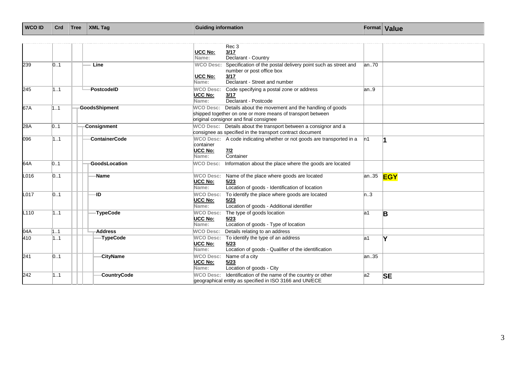| <b>WCO ID</b> | Crd Tree | <b>XML Tag</b> | Guiding information |  | Format Value |
|---------------|----------|----------------|---------------------|--|--------------|
|---------------|----------|----------------|---------------------|--|--------------|

|                  |     |                      | <b>UCC No:</b><br>Name:                     | Rec 3<br>3/17<br>Declarant - Country                                                                                                                         |          |            |
|------------------|-----|----------------------|---------------------------------------------|--------------------------------------------------------------------------------------------------------------------------------------------------------------|----------|------------|
| 239              | 01  | Line                 | <b>WCO Desc:</b><br><b>UCC No:</b><br>Name: | Specification of the postal delivery point such as street and<br>number or post office box<br>3/17<br>Declarant - Street and number                          | an70     |            |
| 245              | 11  | PostcodelD           | <b>WCO Desc:</b><br><b>UCC No:</b><br>Name: | Code specifying a postal zone or address<br>3/17<br>Declarant - Postcode                                                                                     | lan9     |            |
| 67A              | 1.1 | GoodsShipment        | <b>WCO Desc:</b>                            | Details about the movement and the handling of goods<br>shipped together on one or more means of transport between<br>original consignor and final consignee |          |            |
| 28A              | 0.1 | <b>Consignment</b>   |                                             | WCO Desc: Details about the transport between a consignor and a<br>consignee as specified in the transport contract document                                 |          |            |
| 096              | 11  | <b>ContainerCode</b> | container<br><b>UCC No:</b><br>Name:        | WCO Desc: A code indicating whether or not goods are transported in a<br>7/2<br>Container                                                                    | ln 1     |            |
| 64A              | 0.1 | GoodsLocation        | <b>WCO Desc:</b>                            | Information about the place where the goods are located                                                                                                      |          |            |
| L016             | 01  | <b>Name</b>          | <b>WCO Desc:</b><br><b>UCC No:</b><br>Name: | Name of the place where goods are located<br>5/23<br>Location of goods - Identification of location                                                          | an.35    | <b>EGY</b> |
| L017             | 01  | ٠ID                  | <b>WCO Desc:</b><br><b>UCC No:</b><br>Name: | To identify the place where goods are located<br>5/23<br>Location of goods - Additional identifier                                                           | $\ln .3$ |            |
| L <sub>110</sub> | 11  | -TypeCode            | <b>WCO Desc:</b><br><b>UCC No:</b><br>Name: | The type of goods location<br>5/23<br>Location of goods - Type of location                                                                                   | a1       | B          |
| 04A              | 1.1 | <b>Address</b>       | <b>WCO Desc:</b>                            | Details relating to an address                                                                                                                               |          |            |
| 410              | 11  | TypeCode             | <b>WCO Desc:</b><br><b>UCC No:</b><br>Name: | To identify the type of an address<br>5/23<br>Location of goods - Qualifier of the identification                                                            | la1      |            |
| 241              | 01  | <b>CityName</b>      | <b>WCO Desc:</b><br><b>UCC No:</b><br>Name: | Name of a city<br>5/23<br>Location of goods - City                                                                                                           | an.35    |            |
| 242              | 1.1 | CountryCode          |                                             | WCO Desc: Identification of the name of the country or other<br>geographical entity as specified in ISO 3166 and UN/ECE                                      | a2       | <b>SE</b>  |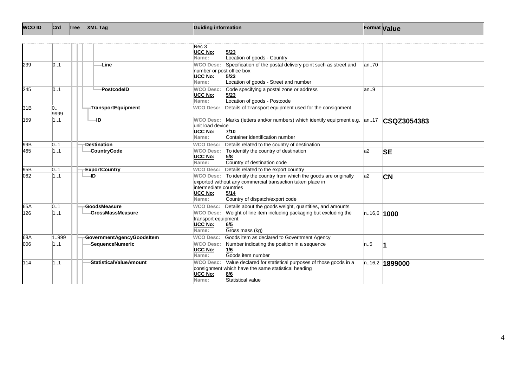| <b>WCO ID</b> | Crd                    | Tree | <b>XML Tag</b>                | <b>Guiding information</b>                        |                                                                                                                                                                                |               | <b>Format Value</b> |
|---------------|------------------------|------|-------------------------------|---------------------------------------------------|--------------------------------------------------------------------------------------------------------------------------------------------------------------------------------|---------------|---------------------|
|               |                        |      |                               |                                                   |                                                                                                                                                                                |               |                     |
|               |                        |      |                               | Rec 3<br><b>UCC No:</b><br>Name:                  | 5/23<br>Location of goods - Country                                                                                                                                            |               |                     |
| 239           | 0.1                    |      | Line                          | <b>WCO Desc:</b><br><b>UCC No:</b><br>Name:       | Specification of the postal delivery point such as street and<br>number or post office box<br>5/23<br>Location of goods - Street and number                                    | an70          |                     |
| 245           | 0.1                    |      | PostcodelD                    | <b>WCO Desc:</b><br><b>UCC No:</b><br>Name:       | Code specifying a postal zone or address<br>5/23<br>Location of goods - Postcode                                                                                               | an.9          |                     |
| 31B           | $\mathsf{D}$ .<br>9999 |      | TransportEquipment            | <b>WCO Desc:</b>                                  | Details of Transport equipment used for the consignment                                                                                                                        |               |                     |
| 159           | 1.1                    |      | -ID                           | unit load device<br><b>UCC No:</b><br>Name:       | WCO Desc: Marks (letters and/or numbers) which identify equipment e.g.  an17<br>7/10<br>Container identification number                                                        |               | CSQZ3054383         |
| 99B           | 0.1                    |      | <b>Destination</b>            | <b>WCO Desc:</b>                                  | Details related to the country of destination                                                                                                                                  |               |                     |
| 465           | 1.1                    |      | CountryCode                   | <b>UCC No:</b><br>Name:                           | WCO Desc: To identify the country of destination<br>5/8<br>Country of destination code                                                                                         | a2            | <b>SE</b>           |
| 95B           | 0.1                    |      | <b>ExportCountry</b>          | <b>WCO Desc:</b>                                  | Details related to the export country                                                                                                                                          |               |                     |
| 062           | 1.1                    |      | ١D                            | intermediate countries<br><b>UCC No:</b><br>Name: | WCO Desc: To identify the country from which the goods are originally<br>exported without any commercial transaction taken place in<br>5/14<br>Country of dispatch/export code | a2            | <b>CN</b>           |
| 65A           | 0.1                    |      | GoodsMeasure                  | <b>WCO Desc:</b>                                  | Details about the goods weight, quantities, and amounts                                                                                                                        |               |                     |
| 126           | 1.1                    |      | GrossMassMeasure              | transport equipment<br>UCC No:<br>Name:           | WCO Desc: Weight of line item including packaging but excluding the<br>6/5<br>Gross mass (kg)                                                                                  | $n.16,6$ 1000 |                     |
| 68A           | 999                    |      | GovernmentAgencyGoodsItem     | <b>WCO Desc:</b>                                  | Goods item as declared to Government Agency                                                                                                                                    |               |                     |
| 006           | 1.1                    |      | SequenceNumeric               | <b>WCO Desc:</b><br><b>UCC No:</b><br>Name:       | Number indicating the position in a sequence<br>1/6<br>Goods item number                                                                                                       | n.5           |                     |
| 114           | 11                     |      | <b>StatisticalValueAmount</b> | <u>UCC No:</u><br>Name:                           | WCO Desc: Value declared for statistical purposes of those goods in a<br>consignment which have the same statistical heading<br>8/6<br>Statistical value                       |               | $n.16,2$ 1899000    |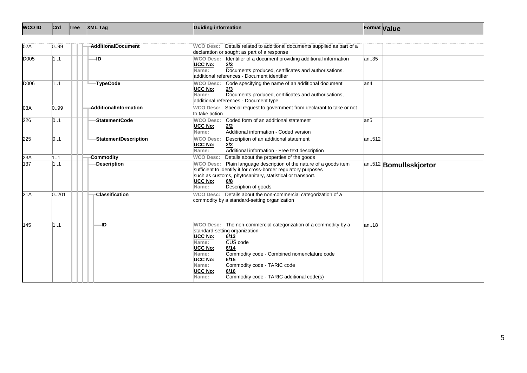| 02A  | 0.99  | <b>AdditionalDocument</b>   | WCO Desc: Details related to additional documents supplied as part of a<br>declaration or sought as part of a response                                                                                                                                                                                                                                                       |                              |
|------|-------|-----------------------------|------------------------------------------------------------------------------------------------------------------------------------------------------------------------------------------------------------------------------------------------------------------------------------------------------------------------------------------------------------------------------|------------------------------|
| D005 | 1.1   | -ID                         | WCO Desc: Identifier of a document providing additional information<br><b>UCC No:</b><br>2/3<br>Documents produced, certificates and authorisations,<br>Name:<br>additional references - Document identifier                                                                                                                                                                 | an35                         |
| D006 | 11    | <b>TypeCode</b>             | WCO Desc: Code specifying the name of an additional document<br><b>UCC No:</b><br>2/3<br>Documents produced, certificates and authorisations,<br>Name:<br>additional references - Document type                                                                                                                                                                              | lan4                         |
| 03A  | 0.99  | AdditionalInformation       | Special request to government from declarant to take or not<br><b>WCO Desc:</b><br>to take action                                                                                                                                                                                                                                                                            |                              |
| 226  | 01    | <b>StatementCode</b>        | <b>WCO Desc:</b><br>Coded form of an additional statement<br><b>UCC No:</b><br>2/2<br>Additional information - Coded version<br>Name:                                                                                                                                                                                                                                        | an5                          |
| 225  | 01    | <b>StatementDescription</b> | <b>WCO Desc:</b><br>Description of an additional statement<br><b>UCC No:</b><br>2/2<br>Additional information - Free text description<br>Name:                                                                                                                                                                                                                               | an512                        |
| 23A  | 1.1   | <b>Commodity</b>            | Details about the properties of the goods<br><b>WCO Desc:</b>                                                                                                                                                                                                                                                                                                                |                              |
| 137  | 1.1   | <b>Description</b>          | WCO Desc: Plain language description of the nature of a goods item<br>sufficient to identify it for cross-border regulatory purposes<br>such as customs, phytosanitary, statistical or transport.<br><b>UCC No:</b><br>6/8<br>Description of goods<br>Name:                                                                                                                  | an512 <b>Bomullsskjortor</b> |
| 21A  | 0.201 | <b>Classification</b>       | Details about the non-commercial categorization of a<br>WCO Desc:<br>commodity by a standard-setting organization                                                                                                                                                                                                                                                            |                              |
| 145  | 1.1   | -ID                         | WCO Desc: The non-commercial categorization of a commodity by a<br>standard-setting organization<br><b>UCC No:</b><br>6/13<br>CUS code<br>Name:<br><b>UCC No:</b><br>6/14<br>Commodity code - Combined nomenclature code<br>Name:<br>UCC No:<br>6/15<br>Commodity code - TARIC code<br>Name:<br><b>UCC No:</b><br>6/16<br>Commodity code - TARIC additional code(s)<br>Name: | an18                         |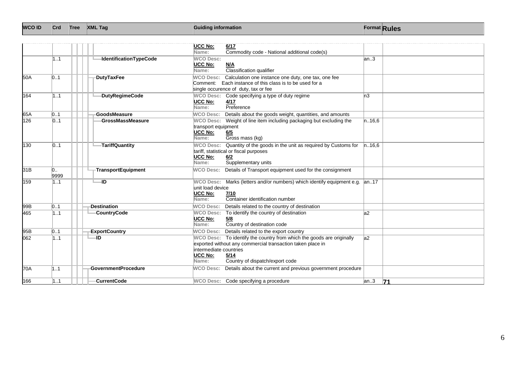| <b>WCO ID</b> | <b>Crd</b> | Tree | <b>XML Tag</b> | <b>Guiding information</b> |  | Format Rules |
|---------------|------------|------|----------------|----------------------------|--|--------------|
|---------------|------------|------|----------------|----------------------------|--|--------------|

|     |           |                               | <b>UCC No:</b><br>6/17                                                           |        |                 |
|-----|-----------|-------------------------------|----------------------------------------------------------------------------------|--------|-----------------|
|     |           |                               | Commodity code - National additional code(s)<br>Name:<br><b>WCO Desc:</b>        |        |                 |
|     | 11        | <b>IdentificationTypeCode</b> | <b>UCC No:</b><br>M/A                                                            | lan.3  |                 |
|     |           |                               | Classification qualifier<br>Name:                                                |        |                 |
| 50A | 0.1       | <b>DutyTaxFee</b>             | Calculation one instance one duty, one tax, one fee<br><b>WCO Desc:</b>          |        |                 |
|     |           |                               | Each instance of this class is to be used for a<br>Comment:                      |        |                 |
|     |           |                               | single occurence of duty, tax or fee                                             |        |                 |
| 164 | 11        | <b>DutyRegimeCode</b>         | <b>WCO Desc:</b><br>Code specifying a type of duty regime                        | ln3    |                 |
|     |           |                               | <b>UCC No:</b><br>4/17<br>Preference<br>Name:                                    |        |                 |
| 65A | 0.1       | GoodsMeasure                  | Details about the goods weight, quantities, and amounts<br><b>WCO Desc:</b>      |        |                 |
| 126 | 0.1       | <b>GrossMassMeasure</b>       | WCO Desc: Weight of line item including packaging but excluding the              | n.16,6 |                 |
|     |           |                               | transport equipment                                                              |        |                 |
|     |           |                               | <b>UCC No:</b><br>6/5                                                            |        |                 |
|     |           |                               | Gross mass (kg)<br>Name:                                                         |        |                 |
| 130 | 01        | TariffQuantity                | Quantity of the goods in the unit as required by Customs for<br><b>WCO Desc:</b> | n.16,6 |                 |
|     |           |                               | tariff, statistical or fiscal purposes                                           |        |                 |
|     |           |                               | <b>UCC No:</b><br>6/2<br>Supplementary units<br>Name:                            |        |                 |
|     |           |                               | Details of Transport equipment used for the consignment<br><b>WCO Desc:</b>      |        |                 |
| 31B | 0<br>9999 | TransportEquipment            |                                                                                  |        |                 |
| 159 | 11        | <b>ID</b>                     | WCO Desc: Marks (letters and/or numbers) which identify equipment e.g. an17      |        |                 |
|     |           |                               | unit load device                                                                 |        |                 |
|     |           |                               | <b>UCC No:</b><br>7/10                                                           |        |                 |
|     |           |                               | Container identification number<br>Name:                                         |        |                 |
| 99B | 0.1       | <b>Destination</b>            | Details related to the country of destination<br><b>WCO Desc:</b>                |        |                 |
| 465 | 1.1       | CountryCode                   | <b>WCO Desc:</b><br>To identify the country of destination<br><b>UCC No:</b>     | a2     |                 |
|     |           |                               | 5/8<br>Country of destination code<br>Name:                                      |        |                 |
| 95B | 0.1       | <b>ExportCountry</b>          | Details related to the export country<br><b>WCO Desc:</b>                        |        |                 |
| 062 | 1.1       | -ID                           | WCO Desc: To identify the country from which the goods are originally            | a2     |                 |
|     |           |                               | exported without any commercial transaction taken place in                       |        |                 |
|     |           |                               | intermediate countries                                                           |        |                 |
|     |           |                               | <b>UCC No:</b><br>5/14                                                           |        |                 |
|     |           |                               | Country of dispatch/export code<br>Name:                                         |        |                 |
| 70A | 1.1       | <b>GovernmentProcedure</b>    | Details about the current and previous government procedure<br><b>WCO Desc:</b>  |        |                 |
|     |           |                               |                                                                                  |        |                 |
| 166 | 111       | <b>CurrentCode</b>            | WCO Desc: Code specifying a procedure                                            | an.3   | $\overline{71}$ |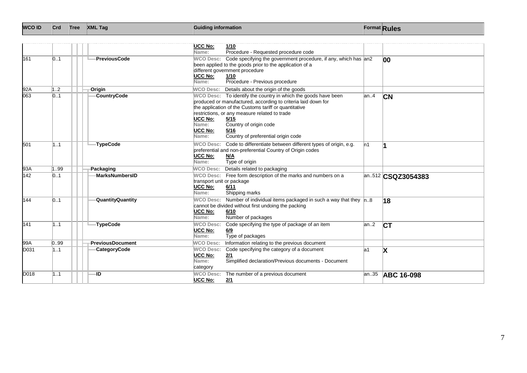| шс | <b>WCO ID</b> | <b>Crd</b> | Tree | <b>XML</b><br>. Tag | <b>Guiding information</b> | ∽ormat ⊑ | 11106 |
|----|---------------|------------|------|---------------------|----------------------------|----------|-------|
|----|---------------|------------|------|---------------------|----------------------------|----------|-------|

| 161              | 0.1  | PreviousCode            | <b>UCC No:</b><br>1/10<br>Procedure - Requested procedure code<br>Name:<br>Code specifying the government procedure, if any, which has an2<br><b>WCO Desc:</b><br>been applied to the goods prior to the application of a<br>different government procedure<br><b>UCC No:</b><br>1/10                                                                                            |       | $ 00\rangle$      |
|------------------|------|-------------------------|----------------------------------------------------------------------------------------------------------------------------------------------------------------------------------------------------------------------------------------------------------------------------------------------------------------------------------------------------------------------------------|-------|-------------------|
|                  |      |                         | Procedure - Previous procedure<br>Name:                                                                                                                                                                                                                                                                                                                                          |       |                   |
| 92A              | 1.2  | <b>Origin</b>           | Details about the origin of the goods<br><b>WCO Desc:</b>                                                                                                                                                                                                                                                                                                                        |       |                   |
| 063              | 01   | CountryCode             | WCO Desc: To identify the country in which the goods have been<br>produced or manufactured, according to criteria laid down for<br>the application of the Customs tariff or quantitative<br>restrictions, or any measure related to trade<br><b>UCC No:</b><br>5/15<br>Country of origin code<br>Name:<br><b>UCC No:</b><br>5/16<br>Country of preferential origin code<br>Name: | lan.4 | <b>CN</b>         |
| 501              | 1.1  | <b>TypeCode</b>         | Code to differentiate between different types of origin, e.g.<br><b>WCO Desc:</b><br>preferential and non-preferential Country of Origin codes<br><b>UCC No:</b><br><u>N/A</u><br>Type of origin<br>Name:                                                                                                                                                                        | ln 1  |                   |
| $\overline{93A}$ | 1.99 | Packaging               | Details related to packaging<br><b>WCO Desc:</b>                                                                                                                                                                                                                                                                                                                                 |       |                   |
| $\overline{142}$ | 0.1  | MarksNumbersID          | WCO Desc: Free form description of the marks and numbers on a<br>transport unit or package<br><b>UCC No:</b><br>6/11<br>Shipping marks<br>Name:                                                                                                                                                                                                                                  |       | an512 CSQZ3054383 |
| 144              | 01   | <b>QuantityQuantity</b> | Number of individual items packaged in such a way that they $\vert n.8 \rangle$<br><b>WCO Desc:</b><br>cannot be divided without first undoing the packing<br><b>UCC No:</b><br>6/10<br>Number of packages<br>Name:                                                                                                                                                              |       | 18                |
| 141              | 1.1  | <b>TypeCode</b>         | Code specifying the type of package of an item<br><b>WCO Desc:</b><br><b>UCC No:</b><br>6/9<br>Type of packages<br>Name:                                                                                                                                                                                                                                                         | an2   | <b>CT</b>         |
| 99A              | 0.99 | <b>PreviousDocument</b> | Information relating to the previous document<br><b>WCO Desc:</b>                                                                                                                                                                                                                                                                                                                |       |                   |
| D031             | 1.1  | CategoryCode            | <b>WCO Desc:</b><br>Code specifying the category of a document<br><b>UCC No:</b><br>2/1<br>Simplified declaration/Previous documents - Document<br>Name:<br>category                                                                                                                                                                                                             | a1    | X                 |
| D018             | 1.1  | ۰ID                     | <b>WCO Desc:</b><br>The number of a previous document<br><b>UCC No:</b><br>2/1                                                                                                                                                                                                                                                                                                   | an.35 | <b>ABC 16-098</b> |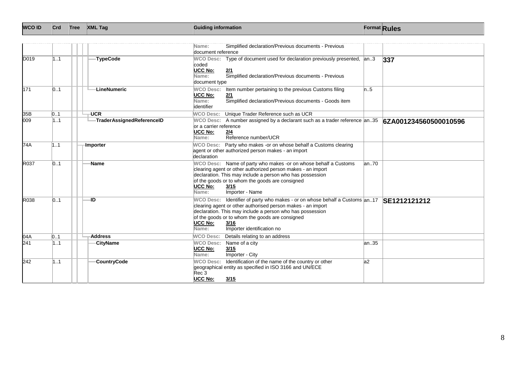|  | <b>WCO IF</b> | Crd | Tre | <b>XML</b><br>. Tag | .<br><b>Guiding information</b> | Format | Rules |
|--|---------------|-----|-----|---------------------|---------------------------------|--------|-------|
|--|---------------|-----|-----|---------------------|---------------------------------|--------|-------|

|      |     |                           | Simplified declaration/Previous documents - Previous<br>Name:                                                                                                                                                                                                                                                               |       |                       |
|------|-----|---------------------------|-----------------------------------------------------------------------------------------------------------------------------------------------------------------------------------------------------------------------------------------------------------------------------------------------------------------------------|-------|-----------------------|
|      |     |                           | document reference                                                                                                                                                                                                                                                                                                          |       |                       |
| D019 | 1.1 | <b>TypeCode</b>           | WCO Desc: Type of document used for declaration previously presented, an3<br>coded<br><b>UCC No:</b><br>2/1<br>Simplified declaration/Previous documents - Previous<br>Name:<br>document type                                                                                                                               |       | 337                   |
| 171  | 01  | LineNumeric               | Item number pertaining to the previous Customs filing<br><b>WCO Desc:</b><br><b>UCC No:</b><br>2/1<br>Simplified declaration/Previous documents - Goods item<br>Name:<br>lidentifier                                                                                                                                        | ln.5  |                       |
| 35B  | 0.1 | -UCR                      | Unique Trader Reference such as UCR<br><b>WCO Desc:</b>                                                                                                                                                                                                                                                                     |       |                       |
| 009  | 1.1 | TraderAssignedReferenceID | WCO Desc: A number assigned by a declarant such as a trader reference an35<br>lor a carrier reference<br><b>UCC No:</b><br>2/4<br>Reference number/UCR<br>Name:                                                                                                                                                             |       | 6ZA001234560500010596 |
| 74A  | 1.1 | -Importer                 | WCO Desc: Party who makes -or on whose behalf a Customs clearing<br>agent or other authorized person makes - an import<br>declaration                                                                                                                                                                                       |       |                       |
| R037 | 0.1 | <b>Name</b>               | WCO Desc: Name of party who makes -or on whose behalf a Customs<br>clearing agent or other authorized person makes - an import<br>declaration. This may include a person who has possession<br>of the goods or to whom the goods are consigned<br><b>UCC No:</b><br>3/15<br>Importer - Name<br>Name:                        | lan70 |                       |
| R038 | 01  | -ID                       | WCO Desc: Identifier of party who makes - or on whose behalf a Customs an17<br>clearing agent or other authorised person makes - an import<br>declaration. This may include a person who has possession<br>of the goods or to whom the goods are consigned<br><b>UCC No:</b><br>3/16<br>Importer identification no<br>Name: |       | SE1212121212          |
| 04A  | 0.1 | <b>Address</b>            | Details relating to an address<br><b>WCO Desc:</b>                                                                                                                                                                                                                                                                          |       |                       |
| 241  | 1.1 | <b>CityName</b>           | <b>WCO Desc:</b><br>Name of a city<br><b>UCC No:</b><br>3/15<br>Importer - City<br>Name:                                                                                                                                                                                                                                    | an35  |                       |
| 242  | 1.1 | <b>CountryCode</b>        | Identification of the name of the country or other<br><b>WCO Desc:</b><br>geographical entity as specified in ISO 3166 and UN/ECE<br>Rec <sub>3</sub><br><b>UCC No:</b><br>3/15                                                                                                                                             | a2    |                       |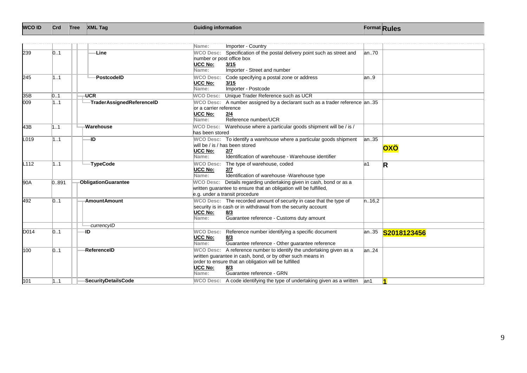| <b>WCO ID</b> | <b>Crd</b> | <b>Tree</b> | <b>XML Tag</b> | .<br><b>Guiding information</b> |  | Format Rules |
|---------------|------------|-------------|----------------|---------------------------------|--|--------------|
|---------------|------------|-------------|----------------|---------------------------------|--|--------------|

|                  |       |                            | Name:<br>Importer - Country                                                       |        |             |  |
|------------------|-------|----------------------------|-----------------------------------------------------------------------------------|--------|-------------|--|
| 239              | 01    | <b>Line</b>                | Specification of the postal delivery point such as street and<br><b>WCO Desc:</b> | an70   |             |  |
|                  |       |                            | number or post office box                                                         |        |             |  |
|                  |       |                            | <b>UCC No:</b><br>3/15                                                            |        |             |  |
|                  |       |                            | Importer - Street and number<br>Name:                                             |        |             |  |
| 245              | 11    | PostcodelD                 | <b>WCO Desc:</b><br>Code specifying a postal zone or address                      | an.9   |             |  |
|                  |       |                            | UCC No:<br>3/15                                                                   |        |             |  |
|                  |       |                            | Name:<br>Importer - Postcode                                                      |        |             |  |
| 35B              | 0.1   | ⊣UCR                       | Unique Trader Reference such as UCR<br><b>WCO Desc:</b>                           |        |             |  |
| 009              | 1.1   | TraderAssignedReferenceID  | WCO Desc: A number assigned by a declarant such as a trader reference $ an.35 $   |        |             |  |
|                  |       |                            | lor a carrier reference                                                           |        |             |  |
|                  |       |                            | <b>UCC No:</b><br>2/4                                                             |        |             |  |
|                  |       |                            | Reference number/UCR<br>Name:                                                     |        |             |  |
| 43B              | 11    | Warehouse                  | WCO Desc: Warehouse where a particular goods shipment will be / is /              |        |             |  |
|                  |       |                            | has been stored                                                                   |        |             |  |
| L019             | 1.1   | -ID                        | WCO Desc: To identify a warehouse where a particular goods shipment               | an35   |             |  |
|                  |       |                            | will be / is / has been stored                                                    |        | OXÖ         |  |
|                  |       |                            | <b>UCC No:</b><br>2/7                                                             |        |             |  |
|                  |       |                            | Identification of warehouse - Warehouse identifier<br>Name:                       |        |             |  |
| L <sub>112</sub> | 11    | TypeCode                   | <b>WCO Desc:</b><br>The type of warehouse, coded                                  | la1    | $\mathbf R$ |  |
|                  |       |                            | <b>UCC No:</b><br>2/7                                                             |        |             |  |
|                  |       |                            | Identification of warehouse -Warehouse type<br>Name:                              |        |             |  |
| 90A              | 0.891 | <b>ObligationGuarantee</b> | Details regarding undertaking given in cash, bond or as a<br><b>WCO Desc:</b>     |        |             |  |
|                  |       |                            | written guarantee to ensure that an obligation will be fulfilled,                 |        |             |  |
|                  |       |                            | e.g. under a transit procedure                                                    |        |             |  |
| 492              | 0.1   | <b>Amount Amount</b>       | WCO Desc: The recorded amount of security in case that the type of                | n.16,2 |             |  |
|                  |       |                            | security is in cash or in withdrawal from the security account                    |        |             |  |
|                  |       |                            | UCC No:<br>8/3                                                                    |        |             |  |
|                  |       |                            | Guarantee reference - Customs duty amount<br>Name:                                |        |             |  |
|                  |       | currencyID                 |                                                                                   |        |             |  |
| D014             | 01    | ID                         | <b>WCO Desc:</b><br>Reference number identifying a specific document              | an.35  | S2018123456 |  |
|                  |       |                            | <b>UCC No:</b><br>8/3                                                             |        |             |  |
|                  |       |                            | Guarantee reference - Other guarantee reference<br>Name:                          |        |             |  |
| 100              | 01    | -ReferenceID               | WCO Desc: A reference number to identify the undertaking given as a               | lan.24 |             |  |
|                  |       |                            | written guarantee in cash, bond, or by other such means in                        |        |             |  |
|                  |       |                            | order to ensure that an obligation will be fulfilled                              |        |             |  |
|                  |       |                            | <b>UCC No:</b><br>8/3<br>Guarantee reference - GRN<br>Name:                       |        |             |  |
|                  |       |                            |                                                                                   |        |             |  |
| 101              | 1.1   | <b>SecurityDetailsCode</b> | WCO Desc: A code identifying the type of undertaking given as a written           | lan1   |             |  |